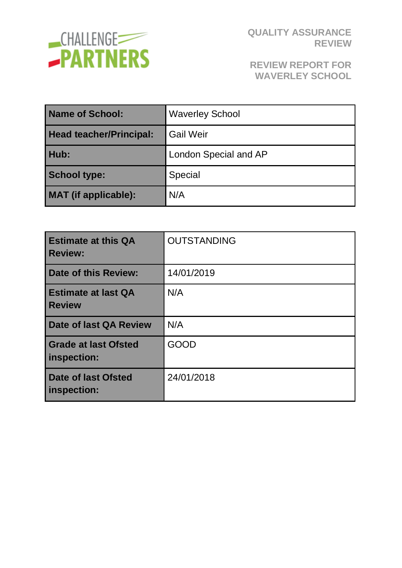

### **REVIEW REPORT FOR WAVERLEY SCHOOL**

| Name of School:                | <b>Waverley School</b> |  |
|--------------------------------|------------------------|--|
| <b>Head teacher/Principal:</b> | <b>Gail Weir</b>       |  |
| Hub:                           | London Special and AP  |  |
| <b>School type:</b>            | Special                |  |
| <b>MAT</b> (if applicable):    | N/A                    |  |

| <b>Estimate at this QA</b><br><b>Review:</b> | <b>OUTSTANDING</b> |
|----------------------------------------------|--------------------|
| <b>Date of this Review:</b>                  | 14/01/2019         |
| <b>Estimate at last QA</b><br><b>Review</b>  | N/A                |
| Date of last QA Review                       | N/A                |
| <b>Grade at last Ofsted</b><br>inspection:   | <b>GOOD</b>        |
| Date of last Ofsted<br>inspection:           | 24/01/2018         |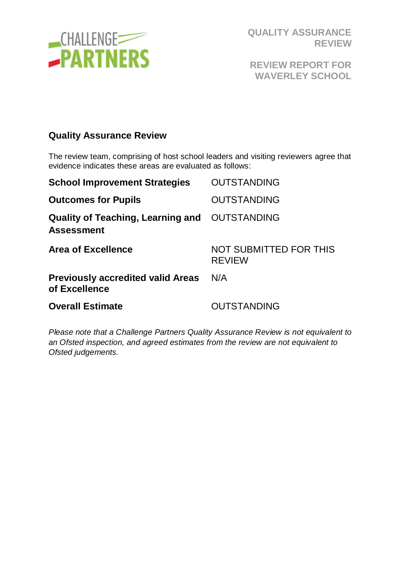

**REVIEW REPORT FOR WAVERLEY SCHOOL**

#### **Quality Assurance Review**

The review team, comprising of host school leaders and visiting reviewers agree that evidence indicates these areas are evaluated as follows:

| <b>School Improvement Strategies</b>                               | <b>OUTSTANDING</b>                             |
|--------------------------------------------------------------------|------------------------------------------------|
| <b>Outcomes for Pupils</b>                                         | <b>OUTSTANDING</b>                             |
| Quality of Teaching, Learning and OUTSTANDING<br><b>Assessment</b> |                                                |
| <b>Area of Excellence</b>                                          | <b>NOT SUBMITTED FOR THIS</b><br><b>REVIEW</b> |
| <b>Previously accredited valid Areas</b><br>of Excellence          | N/A                                            |
| <b>Overall Estimate</b>                                            | <b>OUTSTANDING</b>                             |

*Please note that a Challenge Partners Quality Assurance Review is not equivalent to an Ofsted inspection, and agreed estimates from the review are not equivalent to Ofsted judgements.*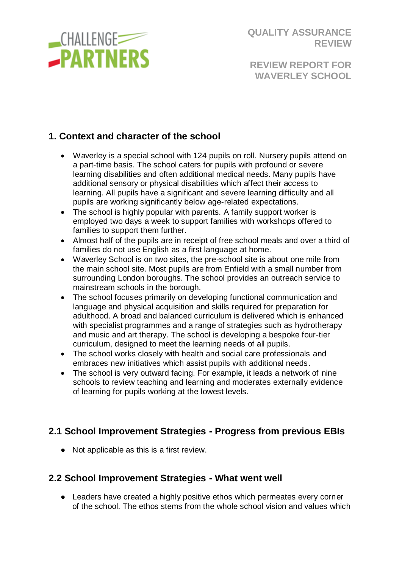

**REVIEW REPORT FOR WAVERLEY SCHOOL**

# **1. Context and character of the school**

- Waverley is a special school with 124 pupils on roll. Nursery pupils attend on a part-time basis. The school caters for pupils with profound or severe learning disabilities and often additional medical needs. Many pupils have additional sensory or physical disabilities which affect their access to learning. All pupils have a significant and severe learning difficulty and all pupils are working significantly below age-related expectations.
- The school is highly popular with parents. A family support worker is employed two days a week to support families with workshops offered to families to support them further.
- Almost half of the pupils are in receipt of free school meals and over a third of families do not use English as a first language at home.
- Waverley School is on two sites, the pre-school site is about one mile from the main school site. Most pupils are from Enfield with a small number from surrounding London boroughs. The school provides an outreach service to mainstream schools in the borough.
- The school focuses primarily on developing functional communication and language and physical acquisition and skills required for preparation for adulthood. A broad and balanced curriculum is delivered which is enhanced with specialist programmes and a range of strategies such as hydrotherapy and music and art therapy. The school is developing a bespoke four-tier curriculum, designed to meet the learning needs of all pupils.
- The school works closely with health and social care professionals and embraces new initiatives which assist pupils with additional needs.
- The school is very outward facing. For example, it leads a network of nine schools to review teaching and learning and moderates externally evidence of learning for pupils working at the lowest levels.

# **2.1 School Improvement Strategies - Progress from previous EBIs**

● Not applicable as this is a first review.

#### **2.2 School Improvement Strategies - What went well**

● Leaders have created a highly positive ethos which permeates every corner of the school. The ethos stems from the whole school vision and values which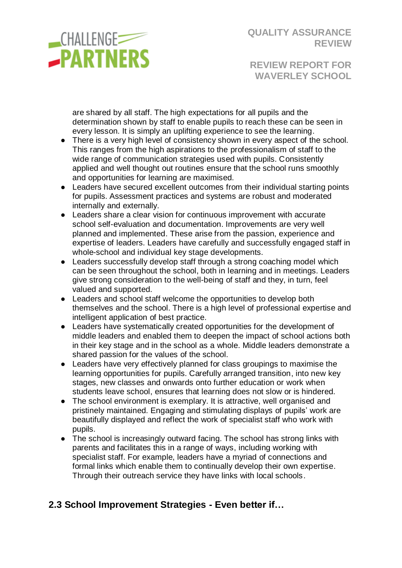

**REVIEW REPORT FOR WAVERLEY SCHOOL**

are shared by all staff. The high expectations for all pupils and the determination shown by staff to enable pupils to reach these can be seen in every lesson. It is simply an uplifting experience to see the learning.

- There is a very high level of consistency shown in every aspect of the school. This ranges from the high aspirations to the professionalism of staff to the wide range of communication strategies used with pupils. Consistently applied and well thought out routines ensure that the school runs smoothly and opportunities for learning are maximised.
- Leaders have secured excellent outcomes from their individual starting points for pupils. Assessment practices and systems are robust and moderated internally and externally.
- Leaders share a clear vision for continuous improvement with accurate school self-evaluation and documentation. Improvements are very well planned and implemented. These arise from the passion, experience and expertise of leaders. Leaders have carefully and successfully engaged staff in whole-school and individual key stage developments.
- Leaders successfully develop staff through a strong coaching model which can be seen throughout the school, both in learning and in meetings. Leaders give strong consideration to the well-being of staff and they, in turn, feel valued and supported.
- Leaders and school staff welcome the opportunities to develop both themselves and the school. There is a high level of professional expertise and intelligent application of best practice.
- Leaders have systematically created opportunities for the development of middle leaders and enabled them to deepen the impact of school actions both in their key stage and in the school as a whole. Middle leaders demonstrate a shared passion for the values of the school.
- Leaders have very effectively planned for class groupings to maximise the learning opportunities for pupils. Carefully arranged transition, into new key stages, new classes and onwards onto further education or work when students leave school, ensures that learning does not slow or is hindered.
- The school environment is exemplary. It is attractive, well organised and pristinely maintained. Engaging and stimulating displays of pupils' work are beautifully displayed and reflect the work of specialist staff who work with pupils.
- The school is increasingly outward facing. The school has strong links with parents and facilitates this in a range of ways, including working with specialist staff. For example, leaders have a myriad of connections and formal links which enable them to continually develop their own expertise. Through their outreach service they have links with local schools.

# **2.3 School Improvement Strategies - Even better if…**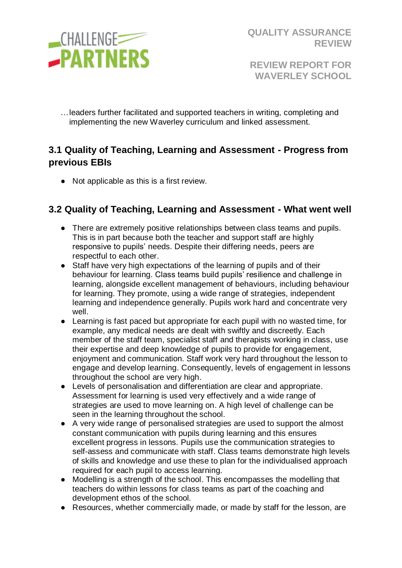

**REVIEW REPORT FOR WAVERLEY SCHOOL**

…leaders further facilitated and supported teachers in writing, completing and implementing the new Waverley curriculum and linked assessment.

# **3.1 Quality of Teaching, Learning and Assessment - Progress from previous EBIs**

● Not applicable as this is a first review.

### **3.2 Quality of Teaching, Learning and Assessment - What went well**

- There are extremely positive relationships between class teams and pupils. This is in part because both the teacher and support staff are highly responsive to pupils' needs. Despite their differing needs, peers are respectful to each other.
- Staff have very high expectations of the learning of pupils and of their behaviour for learning. Class teams build pupils' resilience and challenge in learning, alongside excellent management of behaviours, including behaviour for learning. They promote, using a wide range of strategies, independent learning and independence generally. Pupils work hard and concentrate very well.
- Learning is fast paced but appropriate for each pupil with no wasted time, for example, any medical needs are dealt with swiftly and discreetly. Each member of the staff team, specialist staff and therapists working in class, use their expertise and deep knowledge of pupils to provide for engagement, enjoyment and communication. Staff work very hard throughout the lesson to engage and develop learning. Consequently, levels of engagement in lessons throughout the school are very high.
- Levels of personalisation and differentiation are clear and appropriate. Assessment for learning is used very effectively and a wide range of strategies are used to move learning on. A high level of challenge can be seen in the learning throughout the school.
- A very wide range of personalised strategies are used to support the almost constant communication with pupils during learning and this ensures excellent progress in lessons. Pupils use the communication strategies to self-assess and communicate with staff. Class teams demonstrate high levels of skills and knowledge and use these to plan for the individualised approach required for each pupil to access learning.
- Modelling is a strength of the school. This encompasses the modelling that teachers do within lessons for class teams as part of the coaching and development ethos of the school.
- Resources, whether commercially made, or made by staff for the lesson, are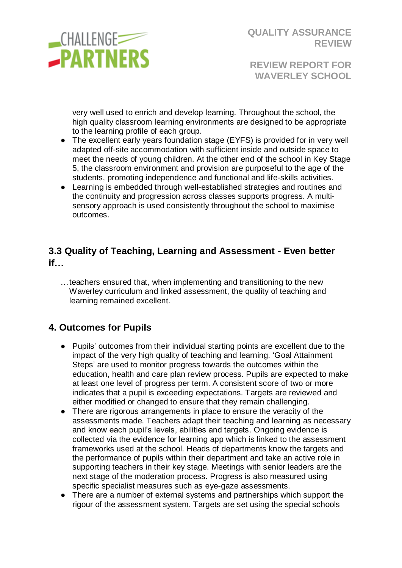

**REVIEW REPORT FOR WAVERLEY SCHOOL**

very well used to enrich and develop learning. Throughout the school, the high quality classroom learning environments are designed to be appropriate to the learning profile of each group.

- The excellent early years foundation stage (EYFS) is provided for in very well adapted off-site accommodation with sufficient inside and outside space to meet the needs of young children. At the other end of the school in Key Stage 5, the classroom environment and provision are purposeful to the age of the students, promoting independence and functional and life-skills activities.
- Learning is embedded through well-established strategies and routines and the continuity and progression across classes supports progress. A multisensory approach is used consistently throughout the school to maximise outcomes.

# **3.3 Quality of Teaching, Learning and Assessment - Even better if…**

…teachers ensured that, when implementing and transitioning to the new Waverley curriculum and linked assessment, the quality of teaching and learning remained excellent.

# **4. Outcomes for Pupils**

- Pupils' outcomes from their individual starting points are excellent due to the impact of the very high quality of teaching and learning. 'Goal Attainment Steps' are used to monitor progress towards the outcomes within the education, health and care plan review process. Pupils are expected to make at least one level of progress per term. A consistent score of two or more indicates that a pupil is exceeding expectations. Targets are reviewed and either modified or changed to ensure that they remain challenging.
- There are rigorous arrangements in place to ensure the veracity of the assessments made. Teachers adapt their teaching and learning as necessary and know each pupil's levels, abilities and targets. Ongoing evidence is collected via the evidence for learning app which is linked to the assessment frameworks used at the school. Heads of departments know the targets and the performance of pupils within their department and take an active role in supporting teachers in their key stage. Meetings with senior leaders are the next stage of the moderation process. Progress is also measured using specific specialist measures such as eye-gaze assessments.
- There are a number of external systems and partnerships which support the rigour of the assessment system. Targets are set using the special schools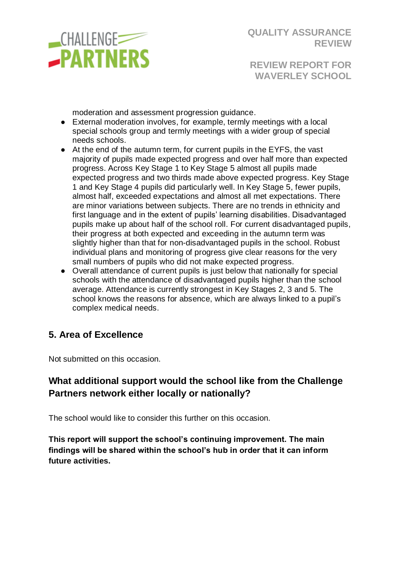

**REVIEW REPORT FOR WAVERLEY SCHOOL**

moderation and assessment progression guidance.

- External moderation involves, for example, termly meetings with a local special schools group and termly meetings with a wider group of special needs schools.
- At the end of the autumn term, for current pupils in the EYFS, the vast majority of pupils made expected progress and over half more than expected progress. Across Key Stage 1 to Key Stage 5 almost all pupils made expected progress and two thirds made above expected progress. Key Stage 1 and Key Stage 4 pupils did particularly well. In Key Stage 5, fewer pupils, almost half, exceeded expectations and almost all met expectations. There are minor variations between subjects. There are no trends in ethnicity and first language and in the extent of pupils' learning disabilities. Disadvantaged pupils make up about half of the school roll. For current disadvantaged pupils, their progress at both expected and exceeding in the autumn term was slightly higher than that for non-disadvantaged pupils in the school. Robust individual plans and monitoring of progress give clear reasons for the very small numbers of pupils who did not make expected progress.
- Overall attendance of current pupils is just below that nationally for special schools with the attendance of disadvantaged pupils higher than the school average. Attendance is currently strongest in Key Stages 2, 3 and 5. The school knows the reasons for absence, which are always linked to a pupil's complex medical needs.

# **5. Area of Excellence**

Not submitted on this occasion.

### **What additional support would the school like from the Challenge Partners network either locally or nationally?**

The school would like to consider this further on this occasion.

**This report will support the school's continuing improvement. The main findings will be shared within the school's hub in order that it can inform future activities.**